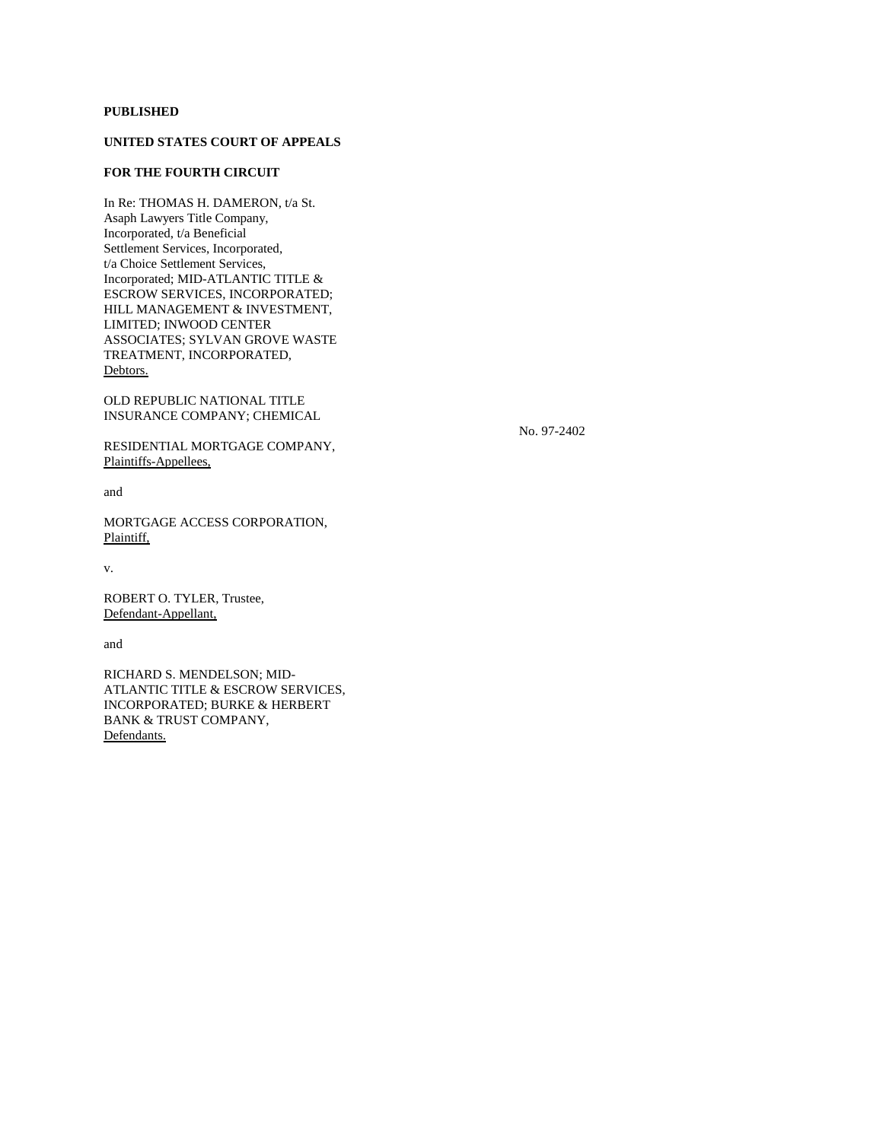# **PUBLISHED**

# **UNITED STATES COURT OF APPEALS**

# **FOR THE FOURTH CIRCUIT**

In Re: THOMAS H. DAMERON, t/a St. Asaph Lawyers Title Company, Incorporated, t/a Beneficial Settlement Services, Incorporated, t/a Choice Settlement Services, Incorporated; MID-ATLANTIC TITLE & ESCROW SERVICES, INCORPORATED; HILL MANAGEMENT & INVESTMENT, LIMITED; INWOOD CENTER ASSOCIATES; SYLVAN GROVE WASTE TREATMENT, INCORPORATED, Debtors.

OLD REPUBLIC NATIONAL TITLE INSURANCE COMPANY; CHEMICAL

RESIDENTIAL MORTGAGE COMPANY, Plaintiffs-Appellees,

No. 97-2402

and

MORTGAGE ACCESS CORPORATION, Plaintiff,

v.

ROBERT O. TYLER, Trustee, Defendant-Appellant,

and

RICHARD S. MENDELSON; MID-ATLANTIC TITLE & ESCROW SERVICES, INCORPORATED; BURKE & HERBERT BANK & TRUST COMPANY, Defendants.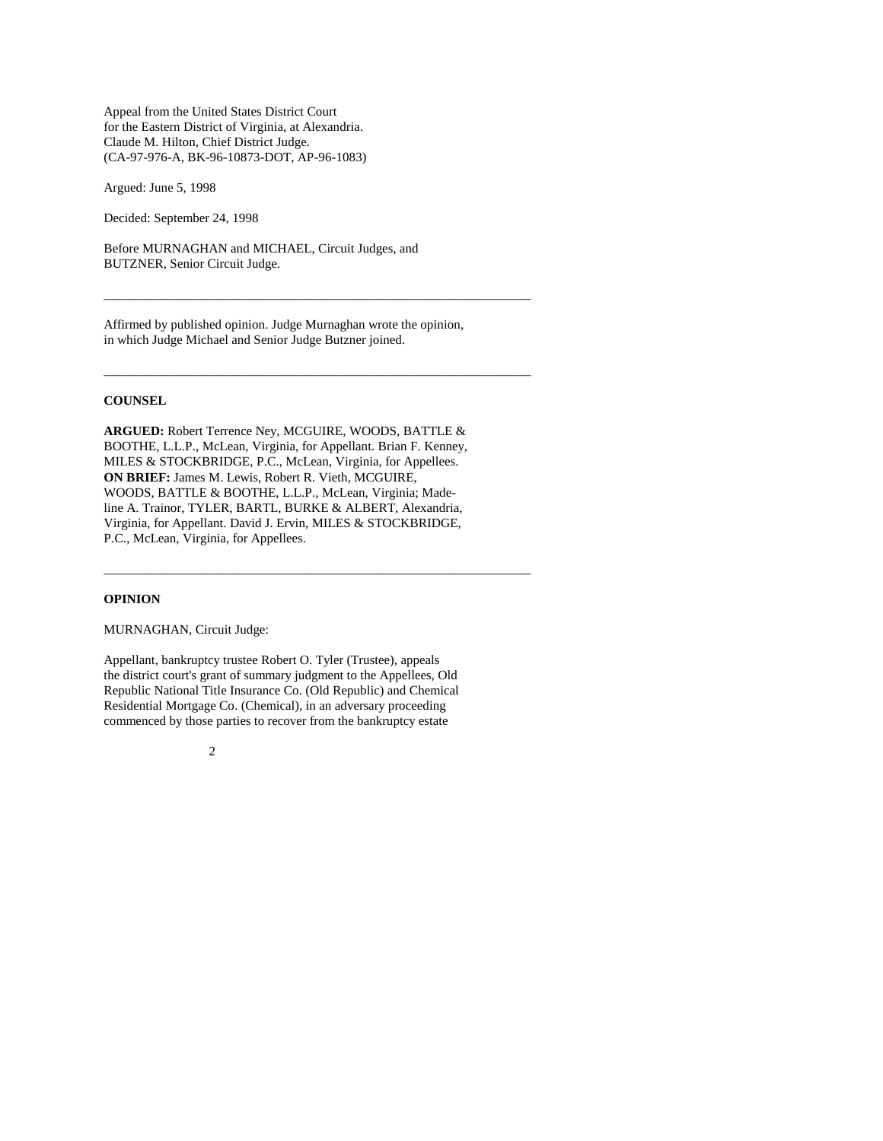Appeal from the United States District Court for the Eastern District of Virginia, at Alexandria. Claude M. Hilton, Chief District Judge. (CA-97-976-A, BK-96-10873-DOT, AP-96-1083)

Argued: June 5, 1998

Decided: September 24, 1998

Before MURNAGHAN and MICHAEL, Circuit Judges, and BUTZNER, Senior Circuit Judge.

Affirmed by published opinion. Judge Murnaghan wrote the opinion, in which Judge Michael and Senior Judge Butzner joined.

\_\_\_\_\_\_\_\_\_\_\_\_\_\_\_\_\_\_\_\_\_\_\_\_\_\_\_\_\_\_\_\_\_\_\_\_\_\_\_\_\_\_\_\_\_\_\_\_\_\_\_\_\_\_\_\_\_\_\_\_\_\_\_\_\_

\_\_\_\_\_\_\_\_\_\_\_\_\_\_\_\_\_\_\_\_\_\_\_\_\_\_\_\_\_\_\_\_\_\_\_\_\_\_\_\_\_\_\_\_\_\_\_\_\_\_\_\_\_\_\_\_\_\_\_\_\_\_\_\_\_

\_\_\_\_\_\_\_\_\_\_\_\_\_\_\_\_\_\_\_\_\_\_\_\_\_\_\_\_\_\_\_\_\_\_\_\_\_\_\_\_\_\_\_\_\_\_\_\_\_\_\_\_\_\_\_\_\_\_\_\_\_\_\_\_\_

### **COUNSEL**

**ARGUED:** Robert Terrence Ney, MCGUIRE, WOODS, BATTLE & BOOTHE, L.L.P., McLean, Virginia, for Appellant. Brian F. Kenney, MILES & STOCKBRIDGE, P.C., McLean, Virginia, for Appellees. **ON BRIEF:** James M. Lewis, Robert R. Vieth, MCGUIRE, WOODS, BATTLE & BOOTHE, L.L.P., McLean, Virginia; Madeline A. Trainor, TYLER, BARTL, BURKE & ALBERT, Alexandria, Virginia, for Appellant. David J. Ervin, MILES & STOCKBRIDGE, P.C., McLean, Virginia, for Appellees.

#### **OPINION**

MURNAGHAN, Circuit Judge:

Appellant, bankruptcy trustee Robert O. Tyler (Trustee), appeals the district court's grant of summary judgment to the Appellees, Old Republic National Title Insurance Co. (Old Republic) and Chemical Residential Mortgage Co. (Chemical), in an adversary proceeding commenced by those parties to recover from the bankruptcy estate

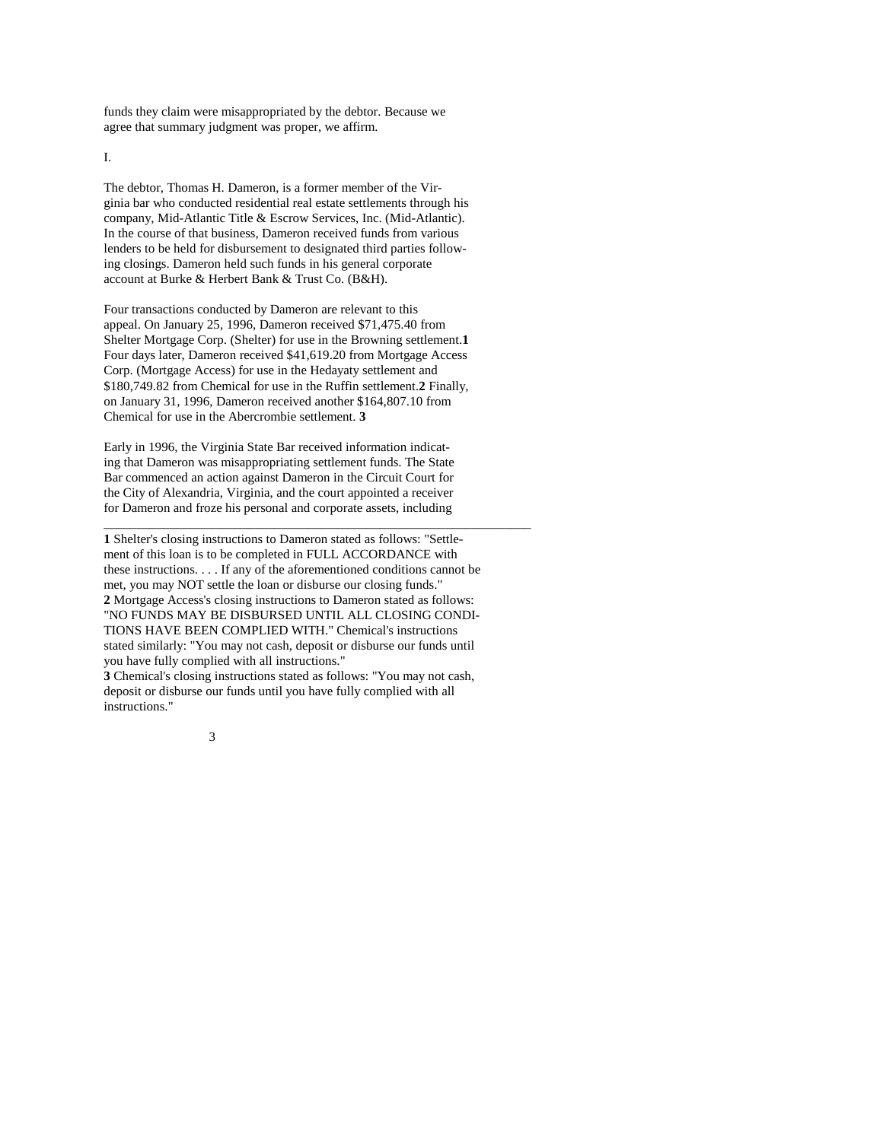funds they claim were misappropriated by the debtor. Because we agree that summary judgment was proper, we affirm.

I.

The debtor, Thomas H. Dameron, is a former member of the Virginia bar who conducted residential real estate settlements through his company, Mid-Atlantic Title & Escrow Services, Inc. (Mid-Atlantic). In the course of that business, Dameron received funds from various lenders to be held for disbursement to designated third parties following closings. Dameron held such funds in his general corporate account at Burke & Herbert Bank & Trust Co. (B&H).

Four transactions conducted by Dameron are relevant to this appeal. On January 25, 1996, Dameron received \$71,475.40 from Shelter Mortgage Corp. (Shelter) for use in the Browning settlement.**1** Four days later, Dameron received \$41,619.20 from Mortgage Access Corp. (Mortgage Access) for use in the Hedayaty settlement and \$180,749.82 from Chemical for use in the Ruffin settlement.**2** Finally, on January 31, 1996, Dameron received another \$164,807.10 from Chemical for use in the Abercrombie settlement. **3**

Early in 1996, the Virginia State Bar received information indicating that Dameron was misappropriating settlement funds. The State Bar commenced an action against Dameron in the Circuit Court for the City of Alexandria, Virginia, and the court appointed a receiver for Dameron and froze his personal and corporate assets, including

**1** Shelter's closing instructions to Dameron stated as follows: "Settlement of this loan is to be completed in FULL ACCORDANCE with these instructions. . . . If any of the aforementioned conditions cannot be met, you may NOT settle the loan or disburse our closing funds." **2** Mortgage Access's closing instructions to Dameron stated as follows: "NO FUNDS MAY BE DISBURSED UNTIL ALL CLOSING CONDI-TIONS HAVE BEEN COMPLIED WITH." Chemical's instructions stated similarly: "You may not cash, deposit or disburse our funds until you have fully complied with all instructions."

\_\_\_\_\_\_\_\_\_\_\_\_\_\_\_\_\_\_\_\_\_\_\_\_\_\_\_\_\_\_\_\_\_\_\_\_\_\_\_\_\_\_\_\_\_\_\_\_\_\_\_\_\_\_\_\_\_\_\_\_\_\_\_\_\_

**3** Chemical's closing instructions stated as follows: "You may not cash, deposit or disburse our funds until you have fully complied with all instructions."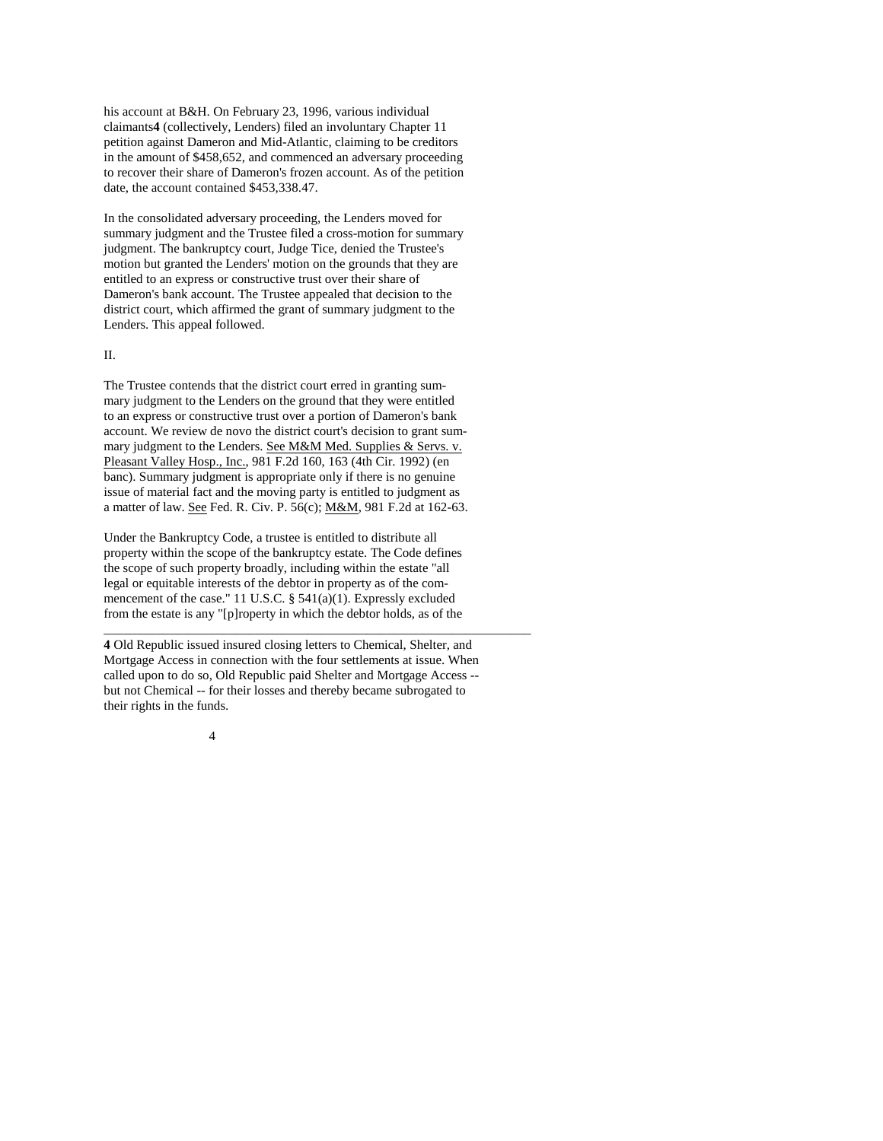his account at B&H. On February 23, 1996, various individual claimants**4** (collectively, Lenders) filed an involuntary Chapter 11 petition against Dameron and Mid-Atlantic, claiming to be creditors in the amount of \$458,652, and commenced an adversary proceeding to recover their share of Dameron's frozen account. As of the petition date, the account contained \$453,338.47.

In the consolidated adversary proceeding, the Lenders moved for summary judgment and the Trustee filed a cross-motion for summary judgment. The bankruptcy court, Judge Tice, denied the Trustee's motion but granted the Lenders' motion on the grounds that they are entitled to an express or constructive trust over their share of Dameron's bank account. The Trustee appealed that decision to the district court, which affirmed the grant of summary judgment to the Lenders. This appeal followed.

## II.

The Trustee contends that the district court erred in granting summary judgment to the Lenders on the ground that they were entitled to an express or constructive trust over a portion of Dameron's bank account. We review de novo the district court's decision to grant summary judgment to the Lenders. See M&M Med. Supplies & Servs. v. Pleasant Valley Hosp., Inc., 981 F.2d 160, 163 (4th Cir. 1992) (en banc). Summary judgment is appropriate only if there is no genuine issue of material fact and the moving party is entitled to judgment as a matter of law. See Fed. R. Civ. P. 56(c); M&M, 981 F.2d at 162-63.

Under the Bankruptcy Code, a trustee is entitled to distribute all property within the scope of the bankruptcy estate. The Code defines the scope of such property broadly, including within the estate "all legal or equitable interests of the debtor in property as of the commencement of the case." 11 U.S.C. § 541(a)(1). Expressly excluded from the estate is any "[p]roperty in which the debtor holds, as of the

**4** Old Republic issued insured closing letters to Chemical, Shelter, and Mortgage Access in connection with the four settlements at issue. When called upon to do so, Old Republic paid Shelter and Mortgage Access - but not Chemical -- for their losses and thereby became subrogated to their rights in the funds.

\_\_\_\_\_\_\_\_\_\_\_\_\_\_\_\_\_\_\_\_\_\_\_\_\_\_\_\_\_\_\_\_\_\_\_\_\_\_\_\_\_\_\_\_\_\_\_\_\_\_\_\_\_\_\_\_\_\_\_\_\_\_\_\_\_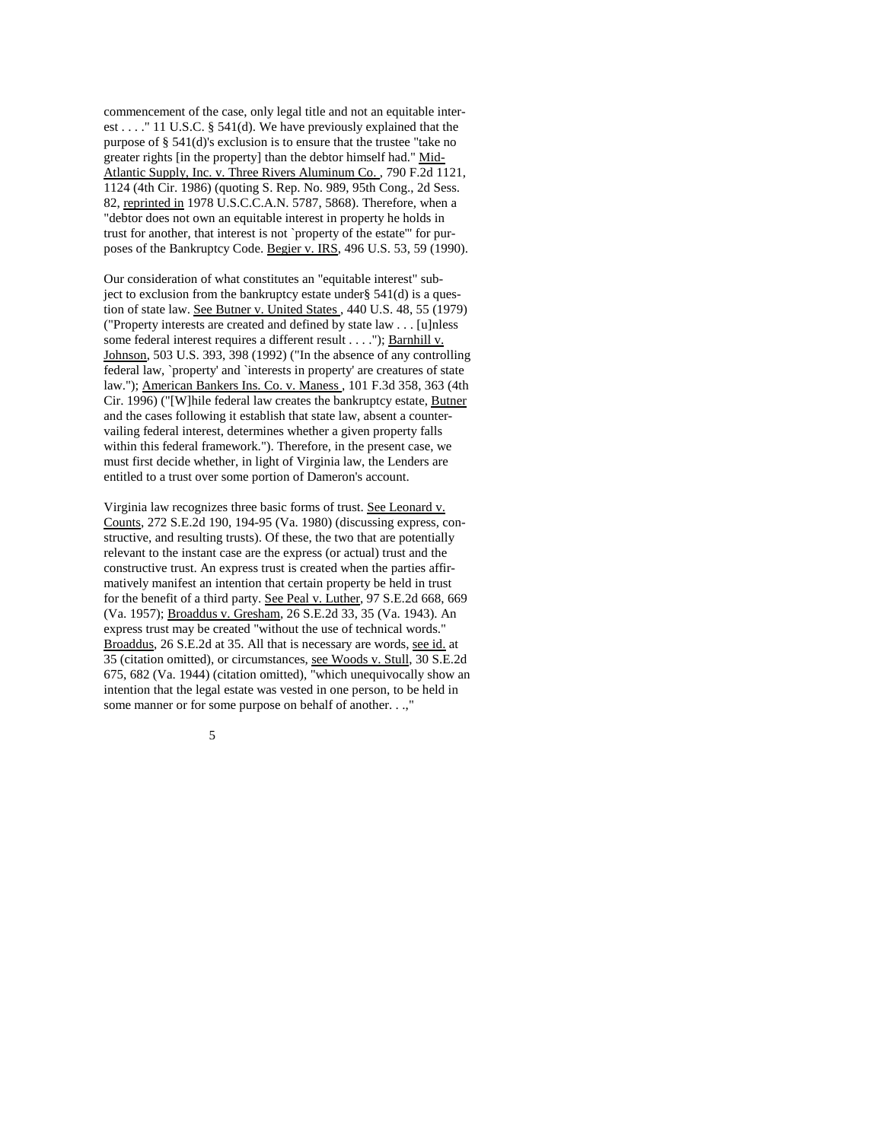commencement of the case, only legal title and not an equitable interest . . . ." 11 U.S.C. § 541(d). We have previously explained that the purpose of § 541(d)'s exclusion is to ensure that the trustee "take no greater rights [in the property] than the debtor himself had." Mid-Atlantic Supply, Inc. v. Three Rivers Aluminum Co. , 790 F.2d 1121, 1124 (4th Cir. 1986) (quoting S. Rep. No. 989, 95th Cong., 2d Sess. 82, reprinted in 1978 U.S.C.C.A.N. 5787, 5868). Therefore, when a "debtor does not own an equitable interest in property he holds in trust for another, that interest is not `property of the estate'" for purposes of the Bankruptcy Code. Begier v. IRS, 496 U.S. 53, 59 (1990).

Our consideration of what constitutes an "equitable interest" subject to exclusion from the bankruptcy estate under §  $541(d)$  is a question of state law. See Butner v. United States , 440 U.S. 48, 55 (1979) ("Property interests are created and defined by state law . . . [u]nless some federal interest requires a different result . . . ."); Barnhill v. Johnson, 503 U.S. 393, 398 (1992) ("In the absence of any controlling federal law, `property' and `interests in property' are creatures of state law."); American Bankers Ins. Co. v. Maness , 101 F.3d 358, 363 (4th Cir. 1996) ("[W]hile federal law creates the bankruptcy estate, Butner and the cases following it establish that state law, absent a countervailing federal interest, determines whether a given property falls within this federal framework."). Therefore, in the present case, we must first decide whether, in light of Virginia law, the Lenders are entitled to a trust over some portion of Dameron's account.

Virginia law recognizes three basic forms of trust. See Leonard v. Counts, 272 S.E.2d 190, 194-95 (Va. 1980) (discussing express, constructive, and resulting trusts). Of these, the two that are potentially relevant to the instant case are the express (or actual) trust and the constructive trust. An express trust is created when the parties affirmatively manifest an intention that certain property be held in trust for the benefit of a third party. See Peal v. Luther, 97 S.E.2d 668, 669 (Va. 1957); Broaddus v. Gresham, 26 S.E.2d 33, 35 (Va. 1943). An express trust may be created "without the use of technical words." Broaddus, 26 S.E.2d at 35. All that is necessary are words, see id. at 35 (citation omitted), or circumstances, see Woods v. Stull, 30 S.E.2d 675, 682 (Va. 1944) (citation omitted), "which unequivocally show an intention that the legal estate was vested in one person, to be held in some manner or for some purpose on behalf of another. . .,"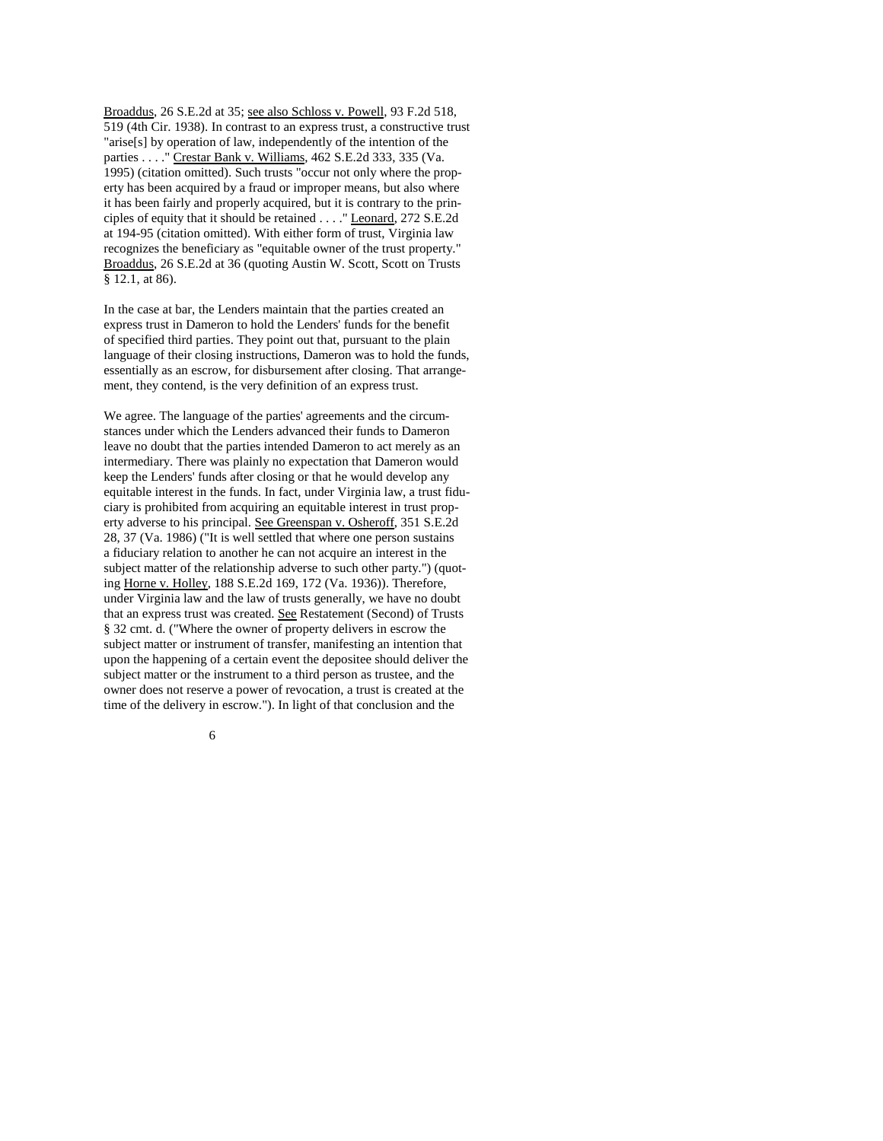Broaddus, 26 S.E.2d at 35; see also Schloss v. Powell, 93 F.2d 518, 519 (4th Cir. 1938). In contrast to an express trust, a constructive trust "arise[s] by operation of law, independently of the intention of the parties . . . ." Crestar Bank v. Williams, 462 S.E.2d 333, 335 (Va. 1995) (citation omitted). Such trusts "occur not only where the property has been acquired by a fraud or improper means, but also where it has been fairly and properly acquired, but it is contrary to the principles of equity that it should be retained . . . ." Leonard, 272 S.E.2d at 194-95 (citation omitted). With either form of trust, Virginia law recognizes the beneficiary as "equitable owner of the trust property." Broaddus, 26 S.E.2d at 36 (quoting Austin W. Scott, Scott on Trusts § 12.1, at 86).

In the case at bar, the Lenders maintain that the parties created an express trust in Dameron to hold the Lenders' funds for the benefit of specified third parties. They point out that, pursuant to the plain language of their closing instructions, Dameron was to hold the funds, essentially as an escrow, for disbursement after closing. That arrangement, they contend, is the very definition of an express trust.

We agree. The language of the parties' agreements and the circumstances under which the Lenders advanced their funds to Dameron leave no doubt that the parties intended Dameron to act merely as an intermediary. There was plainly no expectation that Dameron would keep the Lenders' funds after closing or that he would develop any equitable interest in the funds. In fact, under Virginia law, a trust fiduciary is prohibited from acquiring an equitable interest in trust property adverse to his principal. See Greenspan v. Osheroff, 351 S.E.2d 28, 37 (Va. 1986) ("It is well settled that where one person sustains a fiduciary relation to another he can not acquire an interest in the subject matter of the relationship adverse to such other party.") (quoting Horne v. Holley, 188 S.E.2d 169, 172 (Va. 1936)). Therefore, under Virginia law and the law of trusts generally, we have no doubt that an express trust was created. See Restatement (Second) of Trusts § 32 cmt. d. ("Where the owner of property delivers in escrow the subject matter or instrument of transfer, manifesting an intention that upon the happening of a certain event the depositee should deliver the subject matter or the instrument to a third person as trustee, and the owner does not reserve a power of revocation, a trust is created at the time of the delivery in escrow."). In light of that conclusion and the

 $\sim$  6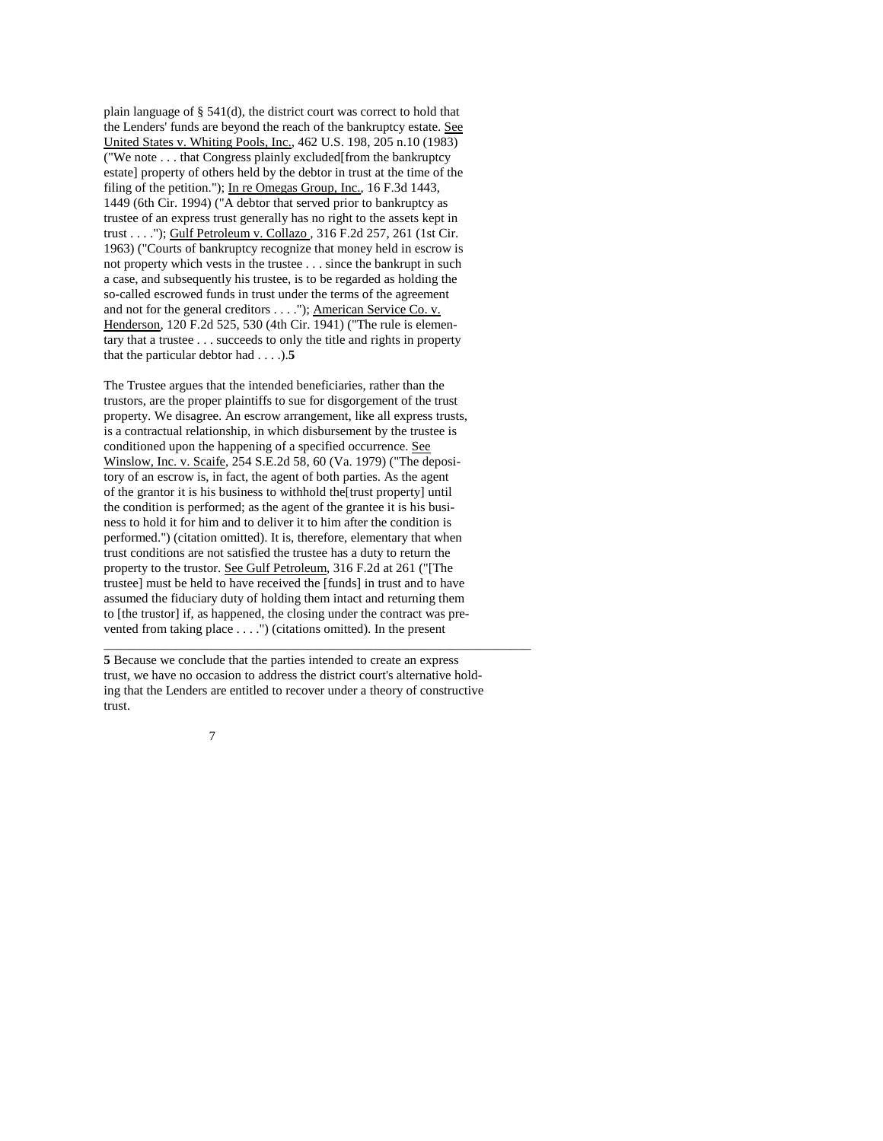plain language of § 541(d), the district court was correct to hold that the Lenders' funds are beyond the reach of the bankruptcy estate. See United States v. Whiting Pools, Inc., 462 U.S. 198, 205 n.10 (1983) ("We note . . . that Congress plainly excluded[from the bankruptcy estate] property of others held by the debtor in trust at the time of the filing of the petition."); In re Omegas Group, Inc., 16 F.3d 1443, 1449 (6th Cir. 1994) ("A debtor that served prior to bankruptcy as trustee of an express trust generally has no right to the assets kept in trust . . . ."); Gulf Petroleum v. Collazo , 316 F.2d 257, 261 (1st Cir. 1963) ("Courts of bankruptcy recognize that money held in escrow is not property which vests in the trustee . . . since the bankrupt in such a case, and subsequently his trustee, is to be regarded as holding the so-called escrowed funds in trust under the terms of the agreement and not for the general creditors . . . ."); American Service Co. v. Henderson, 120 F.2d 525, 530 (4th Cir. 1941) ("The rule is elementary that a trustee . . . succeeds to only the title and rights in property that the particular debtor had . . . .).**5** 

The Trustee argues that the intended beneficiaries, rather than the trustors, are the proper plaintiffs to sue for disgorgement of the trust property. We disagree. An escrow arrangement, like all express trusts, is a contractual relationship, in which disbursement by the trustee is conditioned upon the happening of a specified occurrence. See Winslow, Inc. v. Scaife, 254 S.E.2d 58, 60 (Va. 1979) ("The depository of an escrow is, in fact, the agent of both parties. As the agent of the grantor it is his business to withhold the[trust property] until the condition is performed; as the agent of the grantee it is his business to hold it for him and to deliver it to him after the condition is performed.") (citation omitted). It is, therefore, elementary that when trust conditions are not satisfied the trustee has a duty to return the property to the trustor. See Gulf Petroleum, 316 F.2d at 261 ("[The trustee] must be held to have received the [funds] in trust and to have assumed the fiduciary duty of holding them intact and returning them to [the trustor] if, as happened, the closing under the contract was prevented from taking place . . . .") (citations omitted). In the present

**5** Because we conclude that the parties intended to create an express trust, we have no occasion to address the district court's alternative holding that the Lenders are entitled to recover under a theory of constructive trust.

\_\_\_\_\_\_\_\_\_\_\_\_\_\_\_\_\_\_\_\_\_\_\_\_\_\_\_\_\_\_\_\_\_\_\_\_\_\_\_\_\_\_\_\_\_\_\_\_\_\_\_\_\_\_\_\_\_\_\_\_\_\_\_\_\_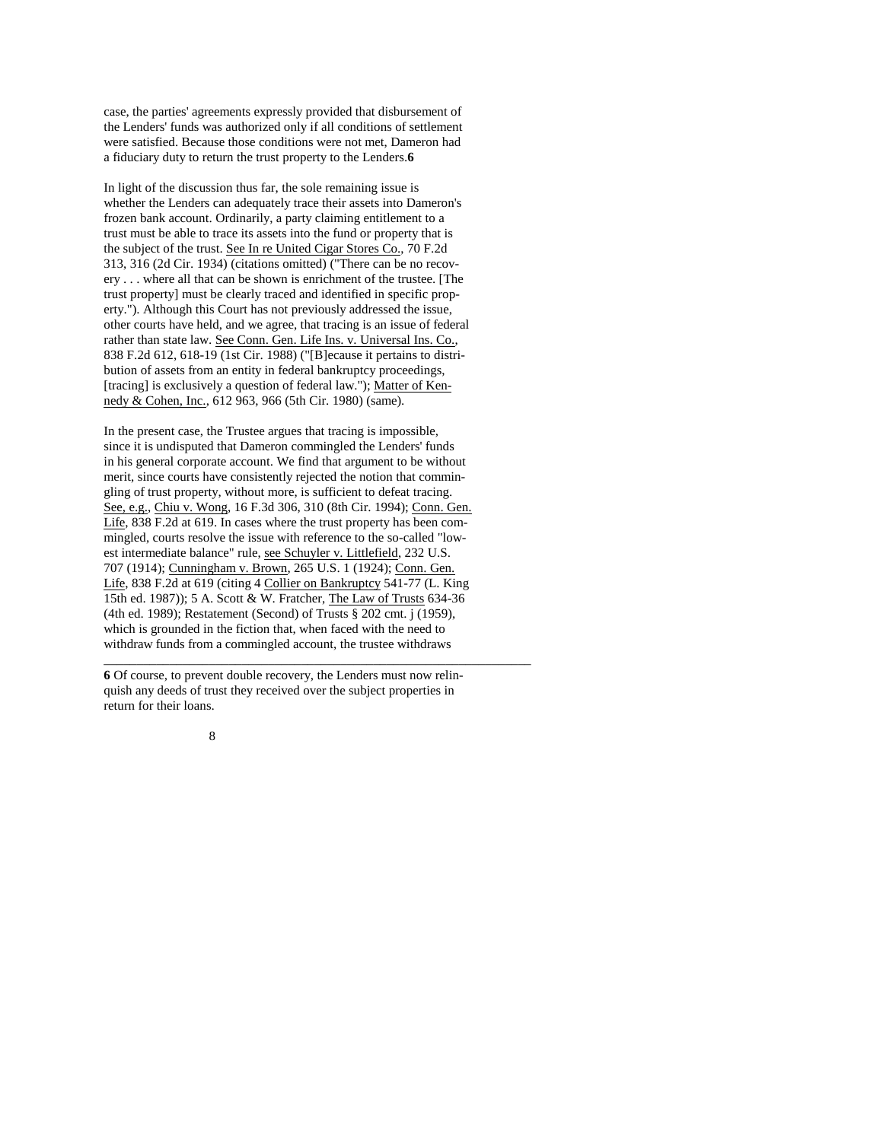case, the parties' agreements expressly provided that disbursement of the Lenders' funds was authorized only if all conditions of settlement were satisfied. Because those conditions were not met, Dameron had a fiduciary duty to return the trust property to the Lenders.**6**

In light of the discussion thus far, the sole remaining issue is whether the Lenders can adequately trace their assets into Dameron's frozen bank account. Ordinarily, a party claiming entitlement to a trust must be able to trace its assets into the fund or property that is the subject of the trust. See In re United Cigar Stores Co., 70 F.2d 313, 316 (2d Cir. 1934) (citations omitted) ("There can be no recovery . . . where all that can be shown is enrichment of the trustee. [The trust property] must be clearly traced and identified in specific property."). Although this Court has not previously addressed the issue, other courts have held, and we agree, that tracing is an issue of federal rather than state law. See Conn. Gen. Life Ins. v. Universal Ins. Co., 838 F.2d 612, 618-19 (1st Cir. 1988) ("[B]ecause it pertains to distribution of assets from an entity in federal bankruptcy proceedings, [tracing] is exclusively a question of federal law."); Matter of Kennedy & Cohen, Inc., 612 963, 966 (5th Cir. 1980) (same).

In the present case, the Trustee argues that tracing is impossible, since it is undisputed that Dameron commingled the Lenders' funds in his general corporate account. We find that argument to be without merit, since courts have consistently rejected the notion that commingling of trust property, without more, is sufficient to defeat tracing. See, e.g., Chiu v. Wong, 16 F.3d 306, 310 (8th Cir. 1994); Conn. Gen. Life, 838 F.2d at 619. In cases where the trust property has been commingled, courts resolve the issue with reference to the so-called "lowest intermediate balance" rule, see Schuyler v. Littlefield, 232 U.S. 707 (1914); Cunningham v. Brown, 265 U.S. 1 (1924); Conn. Gen. Life, 838 F.2d at 619 (citing 4 Collier on Bankruptcy 541-77 (L. King 15th ed. 1987)); 5 A. Scott & W. Fratcher, The Law of Trusts 634-36 (4th ed. 1989); Restatement (Second) of Trusts § 202 cmt. j (1959), which is grounded in the fiction that, when faced with the need to withdraw funds from a commingled account, the trustee withdraws

**6** Of course, to prevent double recovery, the Lenders must now relinquish any deeds of trust they received over the subject properties in return for their loans.

\_\_\_\_\_\_\_\_\_\_\_\_\_\_\_\_\_\_\_\_\_\_\_\_\_\_\_\_\_\_\_\_\_\_\_\_\_\_\_\_\_\_\_\_\_\_\_\_\_\_\_\_\_\_\_\_\_\_\_\_\_\_\_\_\_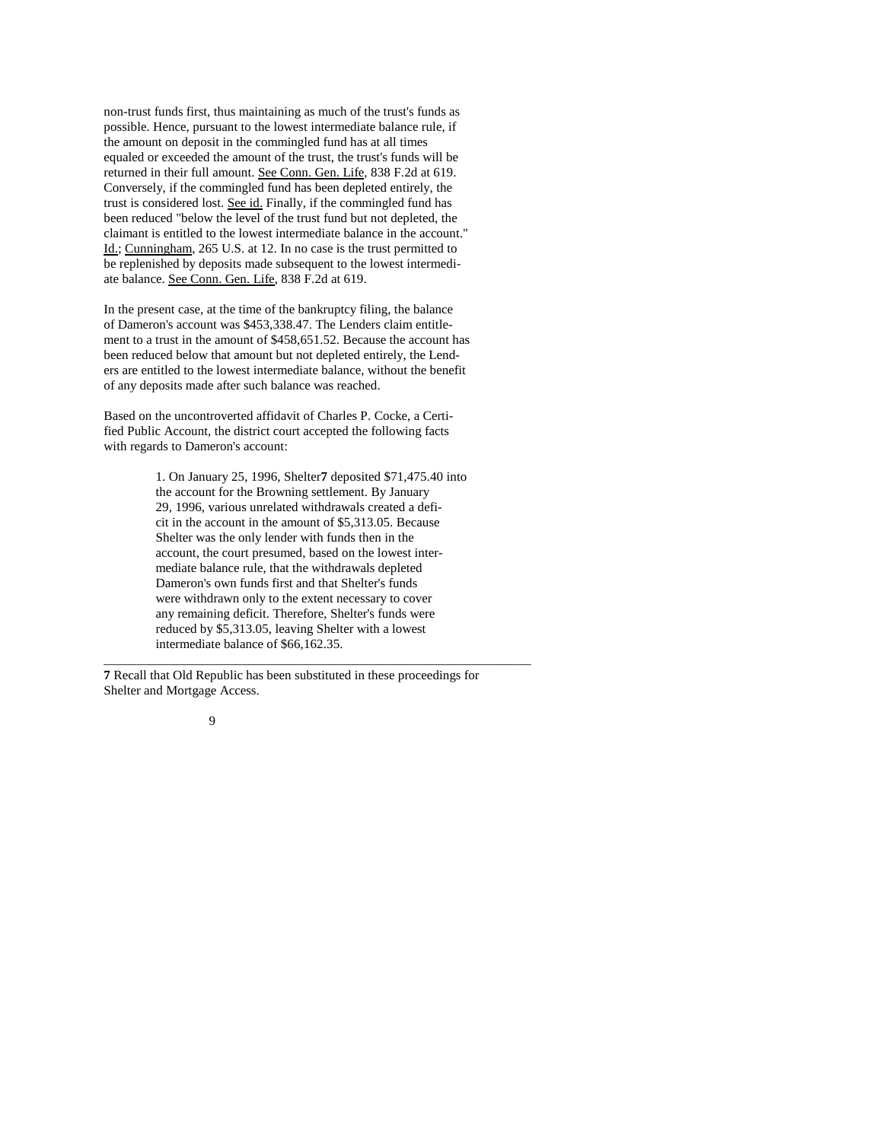non-trust funds first, thus maintaining as much of the trust's funds as possible. Hence, pursuant to the lowest intermediate balance rule, if the amount on deposit in the commingled fund has at all times equaled or exceeded the amount of the trust, the trust's funds will be returned in their full amount. See Conn. Gen. Life, 838 F.2d at 619. Conversely, if the commingled fund has been depleted entirely, the trust is considered lost. See id. Finally, if the commingled fund has been reduced "below the level of the trust fund but not depleted, the claimant is entitled to the lowest intermediate balance in the account." Id.; Cunningham, 265 U.S. at 12. In no case is the trust permitted to be replenished by deposits made subsequent to the lowest intermediate balance. See Conn. Gen. Life, 838 F.2d at 619.

In the present case, at the time of the bankruptcy filing, the balance of Dameron's account was \$453,338.47. The Lenders claim entitlement to a trust in the amount of \$458,651.52. Because the account has been reduced below that amount but not depleted entirely, the Lenders are entitled to the lowest intermediate balance, without the benefit of any deposits made after such balance was reached.

Based on the uncontroverted affidavit of Charles P. Cocke, a Certified Public Account, the district court accepted the following facts with regards to Dameron's account:

> 1. On January 25, 1996, Shelter**7** deposited \$71,475.40 into the account for the Browning settlement. By January 29, 1996, various unrelated withdrawals created a deficit in the account in the amount of \$5,313.05. Because Shelter was the only lender with funds then in the account, the court presumed, based on the lowest intermediate balance rule, that the withdrawals depleted Dameron's own funds first and that Shelter's funds were withdrawn only to the extent necessary to cover any remaining deficit. Therefore, Shelter's funds were reduced by \$5,313.05, leaving Shelter with a lowest intermediate balance of \$66,162.35.

\_\_\_\_\_\_\_\_\_\_\_\_\_\_\_\_\_\_\_\_\_\_\_\_\_\_\_\_\_\_\_\_\_\_\_\_\_\_\_\_\_\_\_\_\_\_\_\_\_\_\_\_\_\_\_\_\_\_\_\_\_\_\_\_\_

**7** Recall that Old Republic has been substituted in these proceedings for Shelter and Mortgage Access.